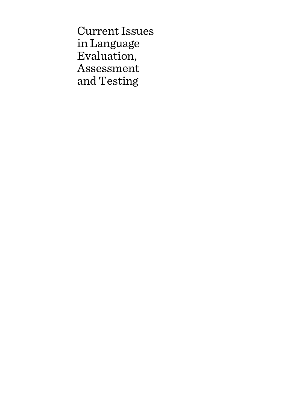Current Issues in Language Evaluation, Assessment and Testing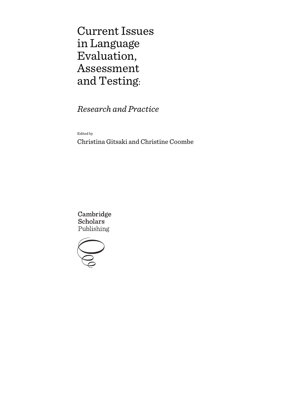Current Issues in Language Evaluation, Assessment and Testing:

*Research and Practice*

Edited by

Christina Gitsaki and Christine Coombe

Cambridge **Scholars** Publishing

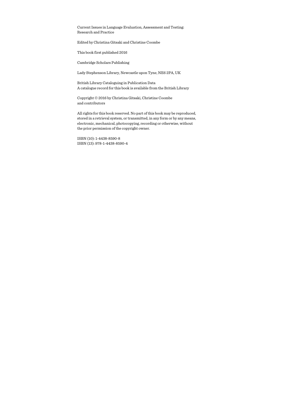Current Issues in Language Evaluation, Assessment and Testing: Research and Practice

Edited by Christina Gitsaki and Christine Coombe

This book first published 2016

Cambridge Scholars Publishing

Lady Stephenson Library, Newcastle upon Tyne, NE6 2PA, UK

British Library Cataloguing in Publication Data A catalogue record for this book is available from the British Library

Copyright © 2016 by Christina Gitsaki, Christine Coombe and contributors

All rights for this book reserved. No part of this book may be reproduced, stored in a retrieval system, or transmitted, in any form or by any means, electronic, mechanical, photocopying, recording or otherwise, without the prior permission of the copyright owner.

ISBN (10): 1-4438-8590-8 ISBN (13): 978-1-4438-8590-4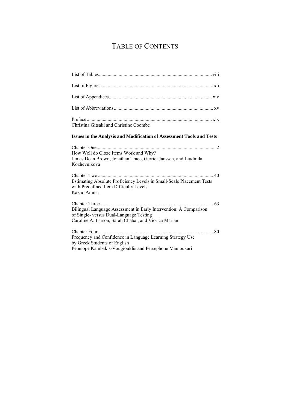# TABLE OF CONTENTS

| Christina Gitsaki and Christine Coombe                                                                                                                               |
|----------------------------------------------------------------------------------------------------------------------------------------------------------------------|
| <b>Issues in the Analysis and Modification of Assessment Tools and Tests</b>                                                                                         |
| How Well do Cloze Items Work and Why?<br>James Dean Brown, Jonathan Trace, Gerriet Janssen, and Liudmila<br>Kozhevnikova                                             |
| Estimating Absolute Proficiency Levels in Small-Scale Placement Tests<br>with Predefined Item Difficulty Levels<br>Kazuo Amma                                        |
| Bilingual Language Assessment in Early Intervention: A Comparison<br>of Single- versus Dual-Language Testing<br>Caroline A. Larson, Sarah Chabal, and Viorica Marian |
| 80<br>Frequency and Confidence in Language Learning Strategy Use<br>by Greek Students of English<br>Penelope Kambakis-Vougiouklis and Persephone Mamoukari           |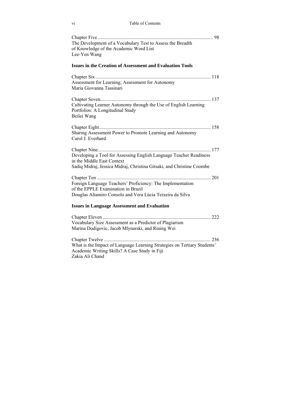| The Development of a Vocabulary Test to Assess the Breadth<br>of Knowledge of the Academic Word List<br>Lee-Yen Wang                                                      |
|---------------------------------------------------------------------------------------------------------------------------------------------------------------------------|
| <b>Issues in the Creation of Assessment and Evaluation Tools</b>                                                                                                          |
| Assessment for Learning; Assessment for Autonomy<br>Maria Giovanna Tassinari                                                                                              |
|                                                                                                                                                                           |
| Cultivating Learner Autonomy through the Use of English Learning<br>Portfolios: A Longitudinal Study<br>Beilei Wang                                                       |
| Sharing Assessment Power to Promote Learning and Autonomy<br>Carol J. Everhard                                                                                            |
| Developing a Tool for Assessing English Language Teacher Readiness<br>in the Middle East Context<br>Sadiq Midraj, Jessica Midraj, Christina Gitsaki, and Christine Coombe |
| Foreign Language Teachers' Proficiency: The Implementation<br>of the EPPLE Examination in Brazil<br>Douglas Altamiro Consolo and Vera Lúcia Teixeira da Silva             |
| <b>Issues in Language Assessment and Evaluation</b>                                                                                                                       |
| Vocabulary Size Assessment as a Predictor of Plagiarism<br>Marina Dodigovic, Jacob Mlynarski, and Rining Wei                                                              |
| What is the Impact of Language Learning Strategies on Tertiary Students'<br>Academic Writing Skills? A Case Study in Fiji<br>Zakia Ali Chand                              |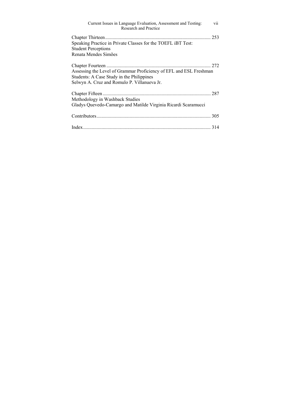| vii<br>Current Issues in Language Evaluation, Assessment and Testing:<br><b>Research and Practice</b>                                                          |
|----------------------------------------------------------------------------------------------------------------------------------------------------------------|
| 253<br>Speaking Practice in Private Classes for the TOEFL iBT Test:<br><b>Student Perceptions</b><br>Renata Mendes Simões                                      |
| Assessing the Level of Grammar Proficiency of EFL and ESL Freshman<br>Students: A Case Study in the Philippines<br>Selwyn A. Cruz and Romulo P. Villanueva Jr. |
| Methodology in Washback Studies<br>Gladys Quevedo-Camargo and Matilde Virginia Ricardi Scaramucci                                                              |
|                                                                                                                                                                |
|                                                                                                                                                                |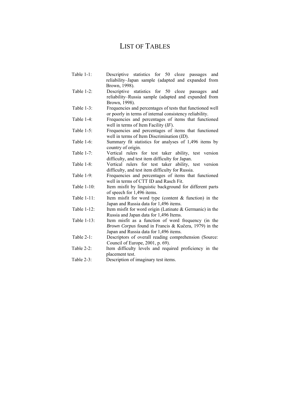## LIST OF TABLES

| Table $1-1$ : | Descriptive statistics for 50 cloze passages and                                                     |
|---------------|------------------------------------------------------------------------------------------------------|
|               | reliability-Japan sample (adapted and expanded from<br>Brown, 1998).                                 |
| Table $1-2$ : | Descriptive statistics for 50 cloze passages<br>and                                                  |
|               | reliability–Russia sample (adapted and expanded from                                                 |
|               | Brown, 1998).                                                                                        |
| Table $1-3$ : | Frequencies and percentages of tests that functioned well                                            |
|               | or poorly in terms of internal consistency reliability.                                              |
| Table $1-4$ : | Frequencies and percentages of items that functioned                                                 |
|               | well in terms of Item Facility $(IF)$ .                                                              |
| Table $1-5$ : | Frequencies and percentages of items that functioned                                                 |
|               | well in terms of Item Discrimination (ID).                                                           |
| Table 1-6:    | Summary fit statistics for analyses of 1,496 items by                                                |
|               | country of origin.                                                                                   |
| Table 1-7:    | Vertical rulers for test taker ability, test version                                                 |
|               | difficulty, and test item difficulty for Japan.                                                      |
| Table 1-8:    | Vertical rulers for test taker ability, test version                                                 |
|               | difficulty, and test item difficulty for Russia.                                                     |
| Table 1-9:    | Frequencies and percentages of items that functioned                                                 |
|               | well in terms of CTT ID and Rasch Fit.                                                               |
| Table 1-10:   | Item misfit by linguistic background for different parts                                             |
|               | of speech for 1,496 items.                                                                           |
| Table 1-11:   | Item misfit for word type (content $&$ function) in the                                              |
|               | Japan and Russia data for 1,496 items.                                                               |
| Table 1-12:   | Item misfit for word origin (Latinate $&$ Germanic) in the<br>Russia and Japan data for 1,496 Items. |
| Table 1-13:   | Item misfit as a function of word frequency (in the                                                  |
|               | Brown Corpus found in Francis & Kučera, 1979) in the                                                 |
|               | Japan and Russia data for 1,496 items.                                                               |
| Table $2-1$ : | Descriptors of overall reading comprehension (Source:                                                |
|               | Council of Europe, 2001, p. 69).                                                                     |
| Table $2-2$ : | Item difficulty levels and required proficiency in the                                               |
|               | placement test.                                                                                      |
| Table 2-3:    | Description of imaginary test items.                                                                 |
|               |                                                                                                      |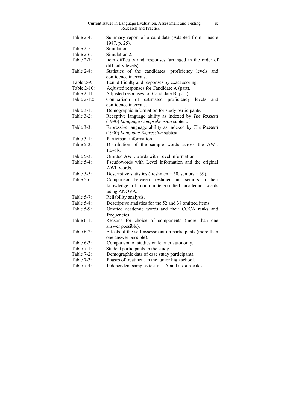|               | Current Issues in Language Evaluation, Assessment and Testing:<br>ix<br>Research and Practice |
|---------------|-----------------------------------------------------------------------------------------------|
| Table $2-4$ : | Summary report of a candidate (Adapted from Linacre<br>1987, p. 25).                          |
| Table 2-5:    | Simulation 1.                                                                                 |
| Table $2-6$ : | Simulation 2.                                                                                 |
| Table 2-7:    | Item difficulty and responses (arranged in the order of                                       |
|               | difficulty levels).                                                                           |
| Table 2-8:    | Statistics of the candidates' proficiency levels and<br>confidence intervals.                 |
| Table 2-9:    | Item difficulty and responses by exact scoring.                                               |
| Table 2-10:   | Adjusted responses for Candidate A (part).                                                    |
| Table 2-11:   | Adjusted responses for Candidate B (part).                                                    |
| Table 2-12:   | Comparison of estimated proficiency<br>levels<br>and                                          |
|               | confidence intervals.                                                                         |
| Table 3-1:    | Demographic information for study participants.                                               |
| Table $3-2$ : | Receptive language ability as indexed by The Rossetti                                         |
|               | (1990) Language Comprehension subtest.                                                        |
| Table $3-3$ : | Expressive language ability as indexed by The Rossetti                                        |
|               | (1990) Language Expression subtest.                                                           |
| Table 5-1:    | Participant information.                                                                      |
| Table 5-2:    | Distribution of the sample words across the AWL                                               |
|               | Levels.                                                                                       |
| Table $5-3$ : | Omitted AWL words with Level information.                                                     |
| Table 5-4:    | Pseudowords with Level information and the original                                           |
|               | AWL words.                                                                                    |
| Table 5-5:    | Descriptive statistics (freshmen = 50, seniors = 39).                                         |
| Table $5-6$ : | Comparison between freshmen and seniors in their                                              |
|               | knowledge of non-omitted/omitted academic words                                               |
|               | using ANOVA.                                                                                  |
| Table $5-7$ : | Reliability analysis.                                                                         |
| Table 5-8:    | Descriptive statistics for the 52 and 38 omitted items.                                       |
| Table 5-9:    | Omitted academic words and their COCA ranks and<br>frequencies.                               |
| Table $6-1$ : | Reasons for choice of components (more than one                                               |
|               | answer possible).                                                                             |
| Table $6-2$ : | Effects of the self-assessment on participants (more than                                     |
|               | one answer possible).                                                                         |
| Table $6-3$ : | Comparison of studies on learner autonomy.                                                    |
| Table 7-1:    | Student participants in the study.                                                            |
| Table 7-2:    | Demographic data of case study participants.                                                  |
| Table 7-3:    | Phases of treatment in the junior high school.                                                |
| Table 7-4:    | Independent samples test of LA and its subscales.                                             |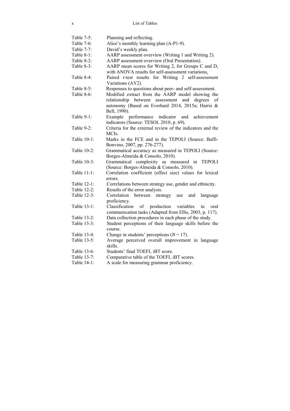Table 7-5: Planning and reflecting. Table 7-6: Alice's monthly learning plan (A-P1-9). Table 7-7: David's weekly plan.<br>Table 8-1: AARP assessment over AARP assessment overview (Writing 1 and Writing 2). Table 8-2: AARP assessment overview (Oral Presentation). Table 8-3: AARP mean scores for Writing 2, for Groups C and D, with ANOVA results for self-assessment variations. Table 8-4: Paired *t*-test results for Writing 2 self-assessment Variations (AY2). Table 8-5: Responses to questions about peer- and self-assessment. Table 8-6: Modified extract from the AARP model showing the relationship between assessment and degrees of autonomy (Based on Everhard 2014, 2015a; Harris & Bell, 1990). Table 9-1: Example performance indicator and achievement indicators (Source: TESOL 2010, p. 69). Table 9-2: Criteria for the external review of the indicators and the **MCIs**. Table 10-1: Marks in the FCE and in the TEPOLI (Source: Baffi-Bonvino, 2007, pp. 276-277). Table 10-2: Grammatical accuracy as measured in TEPOLI (Source: Borges-Almeida & Consolo, 2010). Table 10-3: Grammatical complexity as measured in TEPOLI (Source: Borges-Almeida & Consolo, 2010). Table 11-1: Correlation coefficient (effect size) values for lexical errors. Table 12-1: Correlations between strategy use, gender and ethnicity. Table 12-2: Results of the error analysis. Table 12-3: Correlation between strategy use and language proficiency. Table 13-1: Classification of production variables in oral communication tasks (Adapted from Ellis, 2003, p. 117). Table 13-2: Data collection procedures in each phase of the study. Table 13-3: Student perceptions of their language skills before the course. Table 13-4: Change in students' perceptions  $(N = 17)$ . Table 13-5: Average perceived overall improvement in language skills. Table 13-6: Students' final TOEFL iBT score. Table 13-7: Comparative table of the TOEFL iBT scores. Table 14-1: A scale for measuring grammar proficiency.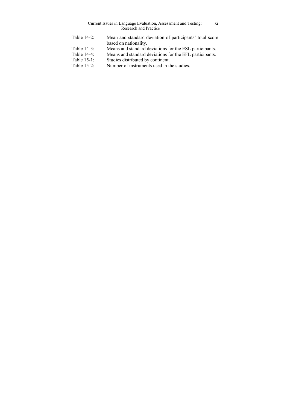|                | Current Issues in Language Evaluation, Assessment and Testing:<br>X1<br><b>Research and Practice</b> |
|----------------|------------------------------------------------------------------------------------------------------|
| Table $14-2$ : | Mean and standard deviation of participants' total score<br>based on nationality.                    |
| Table $14-3$ : | Means and standard deviations for the ESL participants.                                              |
| Table 14-4:    | Means and standard deviations for the EFL participants.                                              |
| Table 15-1:    | Studies distributed by continent.                                                                    |
| Table $15-2$ : | Number of instruments used in the studies.                                                           |
|                |                                                                                                      |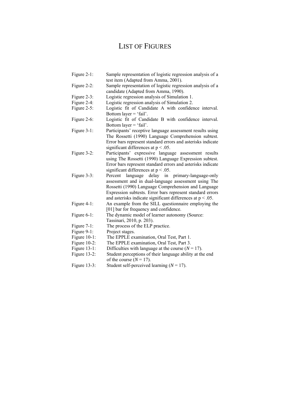## LIST OF FIGURES

| Figure 2-1:     | Sample representation of logistic regression analysis of a<br>test item (Adapted from Amma, 2001).                                                                                                                                                                                                 |
|-----------------|----------------------------------------------------------------------------------------------------------------------------------------------------------------------------------------------------------------------------------------------------------------------------------------------------|
| Figure $2-2$ :  | Sample representation of logistic regression analysis of a<br>candidate (Adapted from Amma, 1990).                                                                                                                                                                                                 |
| Figure 2-3:     | Logistic regression analysis of Simulation 1.                                                                                                                                                                                                                                                      |
| Figure 2-4:     | Logistic regression analysis of Simulation 2.                                                                                                                                                                                                                                                      |
| Figure 2-5:     | Logistic fit of Candidate A with confidence interval.                                                                                                                                                                                                                                              |
|                 | Bottom layer $=$ 'fail'.                                                                                                                                                                                                                                                                           |
| Figure 2-6:     | Logistic fit of Candidate B with confidence interval.<br>Bottom layer = 'fail'.                                                                                                                                                                                                                    |
| Figure 3-1:     | Participants' receptive language assessment results using<br>The Rossetti (1990) Language Comprehension subtest.<br>Error bars represent standard errors and asterisks indicate<br>significant differences at $p < .05$ .                                                                          |
| Figure 3-2:     | Participants' expressive language assessment results<br>using The Rossetti (1990) Language Expression subtest.<br>Error bars represent standard errors and asterisks indicate<br>significant differences at $p < .05$ .                                                                            |
| Figure 3-3:     | delay in primary-language-only<br>Percent<br>language<br>assessment and in dual-language assessment using The<br>Rossetti (1990) Language Comprehension and Language<br>Expression subtests. Error bars represent standard errors<br>and asterisks indicate significant differences at $p < .05$ . |
| Figure 4-1:     | An example from the SILL questionnaire employing the<br>[01] bar for frequency and confidence.                                                                                                                                                                                                     |
| Figure 6-1:     | The dynamic model of learner autonomy (Source:<br>Tassinari, 2010, p. 203).                                                                                                                                                                                                                        |
| Figure $7-1$ :  | The process of the ELP practice.                                                                                                                                                                                                                                                                   |
| Figure 9-1:     | Project stages.                                                                                                                                                                                                                                                                                    |
| Figure $10-1$ : | The EPPLE examination, Oral Test, Part 1.                                                                                                                                                                                                                                                          |
| Figure $10-2$ : | The EPPLE examination, Oral Test, Part 3.                                                                                                                                                                                                                                                          |
| Figure 13-1:    | Difficulties with language at the course $(N = 17)$ .                                                                                                                                                                                                                                              |
| Figure 13-2:    | Student perceptions of their language ability at the end<br>of the course $(N = 17)$ .                                                                                                                                                                                                             |
| Figure $13-3$ : | Student self-perceived learning ( $N = 17$ ).                                                                                                                                                                                                                                                      |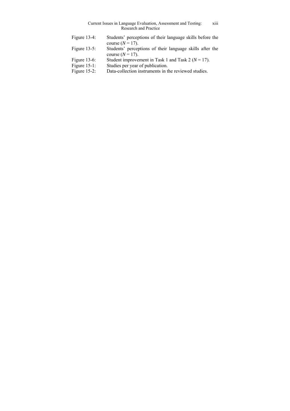| Current Issues in Language Evaluation, Assessment and Testing: | .<br><b>X111</b> |
|----------------------------------------------------------------|------------------|
| Research and Practice                                          |                  |

| Figure $13-4$ : | Students' perceptions of their language skills before the<br>course $(N = 17)$ . |
|-----------------|----------------------------------------------------------------------------------|
| Figure $13-5$ : | Students' perceptions of their language skills after the<br>course $(N = 17)$ .  |
| Figure $13-6$ : | Student improvement in Task 1 and Task 2 ( $N = 17$ ).                           |
| Figure $15-1$ : | Studies per year of publication.                                                 |
| Figure $15-2$ : | Data-collection instruments in the reviewed studies.                             |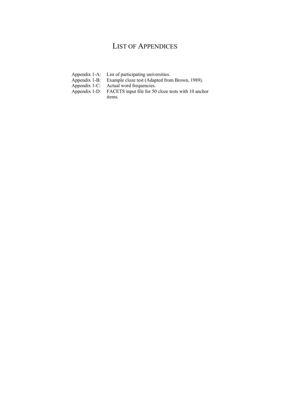### LIST OF APPENDICES

- Appendix 1-A: List of participating universities.<br>Appendix 1-B: Example cloze test (Adapted from
- Appendix 1-B: Example cloze test (Adapted from Brown, 1989).<br>Appendix 1-C: Actual word frequencies.
- 
- Appendix 1-C: Actual word frequencies.<br>Appendix 1-D: FACETS input file for 50 FACETS input file for 50 cloze tests with 10 anchor items.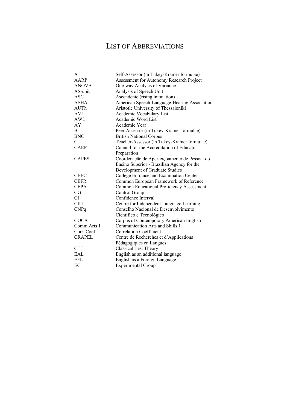## LIST OF ABBREVIATIONS

| A             | Self-Assessor (in Tukey-Kramer formulae)        |
|---------------|-------------------------------------------------|
| AARP          | <b>Assessment for Autonomy Research Project</b> |
| <b>ANOVA</b>  | One-way Analysis of Variance                    |
| AS-unit       | Analysis of Speech Unit                         |
| <b>ASC</b>    | Ascendente (rising intonation)                  |
| <b>ASHA</b>   | American Speech-Language-Hearing Association    |
| AUTh          | Aristotle University of Thessaloniki            |
| AVL           | Academic Vocabulary List                        |
| AWL           | Academic Word List                              |
| AY            | Academic Year                                   |
| B             | Peer-Assessor (in Tukey-Kramer formulae)        |
| <b>BNC</b>    | <b>British National Corpus</b>                  |
| $\mathcal{C}$ | Teacher-Assessor (in Tukey-Kramer formulae)     |
| <b>CAEP</b>   | Council for the Accreditation of Educator       |
|               | Preparation                                     |
| <b>CAPES</b>  | Coordenação de Aperfeiçoamento de Pessoal do    |
|               | Ensino Superior - Brazilian Agency for the      |
|               | Development of Graduate Studies                 |
| <b>CEEC</b>   | College Entrance and Examination Center         |
| <b>CEFR</b>   | Common European Framework of Reference          |
| <b>CEPA</b>   | Common Educational Proficiency Assessment       |
| CG            | Control Group                                   |
| CI            | Confidence Interval                             |
| <b>CILL</b>   | Centre for Independent Language Learning        |
| <b>CNPq</b>   | Conselho Nacional de Desenvolvimento            |
|               | Científico e Tecnológico                        |
| <b>COCA</b>   | Corpus of Contemporary American English         |
| Comm Arts 1   | Communication Arts and Skills 1                 |
| Corr. Coeff.  | <b>Correlation Coefficient</b>                  |
| <b>CRAPEL</b> | Centre de Recherches et d'Applications          |
|               | Pédagogiques en Langues                         |
| <b>CTT</b>    | <b>Classical Test Theory</b>                    |
| EAL           | English as an additional language               |
| EFL           | English as a Foreign Language                   |
| EG            | <b>Experimental Group</b>                       |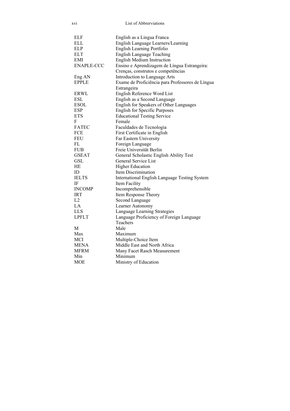| XV1               | List of Abbrerviations                           |  |  |  |  |
|-------------------|--------------------------------------------------|--|--|--|--|
|                   |                                                  |  |  |  |  |
| ELF               | English as a Lingua Franca                       |  |  |  |  |
| ELL               | English Language Learners/Learning               |  |  |  |  |
| <b>ELP</b>        | English Learning Portfolio                       |  |  |  |  |
| <b>ELT</b>        | <b>English Language Teaching</b>                 |  |  |  |  |
| EMI               | <b>English Medium Instruction</b>                |  |  |  |  |
| <b>ENAPLE-CCC</b> | Ensino e Aprendizagem de Língua Estrangeira:     |  |  |  |  |
|                   | Crenças, construtos e competências               |  |  |  |  |
| Eng AN            | Introduction to Language Arts                    |  |  |  |  |
| <b>EPPLE</b>      | Exame de Proficiência para Professores de Língua |  |  |  |  |
|                   | Estrangeira                                      |  |  |  |  |
| <b>ERWL</b>       | English Reference Word List                      |  |  |  |  |
| ESL               | English as a Second Language                     |  |  |  |  |
| <b>ESOL</b>       | English for Speakers of Other Languages          |  |  |  |  |
| ESP               | <b>English for Specific Purposes</b>             |  |  |  |  |
| <b>ETS</b>        | <b>Educational Testing Service</b>               |  |  |  |  |
| F                 | Female                                           |  |  |  |  |
| <b>FATEC</b>      | Faculdades de Tecnologia                         |  |  |  |  |
| FCE               | First Certificate in English                     |  |  |  |  |
| FEU               | Far Eastern University                           |  |  |  |  |
| FL                | Foreign Language                                 |  |  |  |  |
| <b>FUB</b>        | Freie Universität Berlin                         |  |  |  |  |
| <b>GSEAT</b>      | General Scholastic English Ability Test          |  |  |  |  |
| GSL               | General Service List                             |  |  |  |  |
| HЕ                | <b>Higher Education</b>                          |  |  |  |  |
| ID                | Item Discrimination                              |  |  |  |  |
| <b>IELTS</b>      | International English Language Testing System    |  |  |  |  |
| IF                | Item Facility                                    |  |  |  |  |
| <b>INCOMP</b>     | Incomprehensible                                 |  |  |  |  |
| <b>IRT</b>        | Item Response Theory                             |  |  |  |  |
| L2                | Second Language                                  |  |  |  |  |
| LA                | Learner Autonomy                                 |  |  |  |  |
| <b>LLS</b>        | Language Learning Strategies                     |  |  |  |  |
| <b>LPFLT</b>      | Language Proficiency of Foreign Language         |  |  |  |  |
|                   | Teachers                                         |  |  |  |  |
| M                 | Male                                             |  |  |  |  |
| Max               | Maximum                                          |  |  |  |  |
| <b>MCI</b>        | Multiple-Choice Item                             |  |  |  |  |
| MENA              | Middle East and North Africa                     |  |  |  |  |
| <b>MFRM</b>       | Many Facet Rasch Measurement                     |  |  |  |  |
| Min               | Minimum                                          |  |  |  |  |
| MOE               | Ministry of Education                            |  |  |  |  |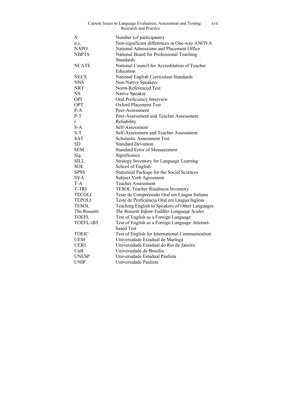| Current Issues in Language Evaluation, Assessment and Testing:<br>xvii<br><b>Research and Practice</b> |                                                 |  |  |  |  |
|--------------------------------------------------------------------------------------------------------|-------------------------------------------------|--|--|--|--|
| N                                                                                                      | Number (of participants)                        |  |  |  |  |
| n.s.                                                                                                   | Non-significant differences in One-way ANOVA    |  |  |  |  |
| <b>NAPO</b>                                                                                            | National Admissions and Placement Office        |  |  |  |  |
| <b>NBPTS</b>                                                                                           | National Board for Professional Teaching        |  |  |  |  |
|                                                                                                        | Standards                                       |  |  |  |  |
| <b>NCATE</b>                                                                                           | National Council for Accreditation of Teacher   |  |  |  |  |
|                                                                                                        | Education                                       |  |  |  |  |
| <b>NECS</b>                                                                                            | National English Curriculum Standards           |  |  |  |  |
| <b>NNS</b>                                                                                             | Non-Native Speakers                             |  |  |  |  |
| <b>NRT</b>                                                                                             | Norm-Referenced Test                            |  |  |  |  |
| <b>NS</b>                                                                                              | Native Speaker                                  |  |  |  |  |
| <b>OPI</b>                                                                                             | Oral Proficiency Interview                      |  |  |  |  |
| <b>OPT</b>                                                                                             | <b>Oxford Placement Test</b>                    |  |  |  |  |
| $P-A$                                                                                                  | Peer-Assessment                                 |  |  |  |  |
| $P-T$                                                                                                  | Peer-Assessment and Teacher Assessment          |  |  |  |  |
| r                                                                                                      | Reliability                                     |  |  |  |  |
| $S-A$                                                                                                  | Self-Assessment                                 |  |  |  |  |
| $S-T$                                                                                                  | Self-Assessment and Teacher Assessment          |  |  |  |  |
| <b>SAT</b>                                                                                             | <b>Scholastic Assessment Test</b>               |  |  |  |  |
| SD                                                                                                     | <b>Standard Deviation</b>                       |  |  |  |  |
| <b>SEM</b>                                                                                             | <b>Standard Error of Measurement</b>            |  |  |  |  |
| Sig.                                                                                                   | Significance                                    |  |  |  |  |
| SILL                                                                                                   | Strategy Inventory for Language Learning        |  |  |  |  |
| <b>SOE</b>                                                                                             | School of English                               |  |  |  |  |
| <b>SPSS</b>                                                                                            | Statistical Package for the Social Sciences     |  |  |  |  |
| <b>SVA</b>                                                                                             | Subject Verb Agreement                          |  |  |  |  |
| T-A                                                                                                    | <b>Teacher Assessment</b>                       |  |  |  |  |
| T-TRI                                                                                                  | <b>TESOL Teacher Readiness Inventory</b>        |  |  |  |  |
| <b>TECOLI</b>                                                                                          | Teste de Compreensão Oral em Língua Italiana    |  |  |  |  |
| <b>TEPOLI</b>                                                                                          | Teste de Proficiência Oral em Língua Inglesa    |  |  |  |  |
| <b>TESOL</b>                                                                                           | Teaching English to Speakers of Other Languages |  |  |  |  |
| The Rossetti                                                                                           | The Rossetti Infant-Toddler Language Scales     |  |  |  |  |
| <b>TOEFL</b>                                                                                           | Test of English as a Foreign Language           |  |  |  |  |
| TOEFL-iBT                                                                                              | Test of English as a Foreign Language-Internet- |  |  |  |  |
|                                                                                                        | based Test                                      |  |  |  |  |
| TOEIC                                                                                                  | Test of English for International Communication |  |  |  |  |
| UEM                                                                                                    | Universidade Estadual de Maringá                |  |  |  |  |
| <b>UERJ</b>                                                                                            | Universidade Estadual do Rio de Janeiro         |  |  |  |  |
| $U$ n $B$                                                                                              | Universidade de Brasília                        |  |  |  |  |
| <b>UNESP</b>                                                                                           | Universidade Estadual Paulista                  |  |  |  |  |
| UNIP                                                                                                   | Universidade Paulista                           |  |  |  |  |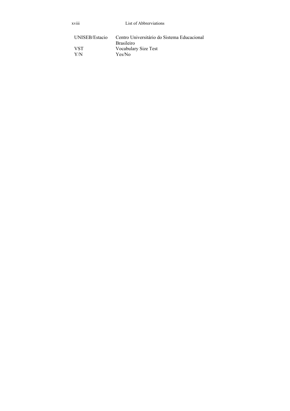| .<br><b>XV111</b>     | List of Abbrerviations                                           |
|-----------------------|------------------------------------------------------------------|
| <b>UNISEB/Estacio</b> | Centro Universitário do Sistema Educacional<br><b>Brasileiro</b> |
| VST                   | Vocabulary Size Test                                             |
| Y/N                   | Yes/No                                                           |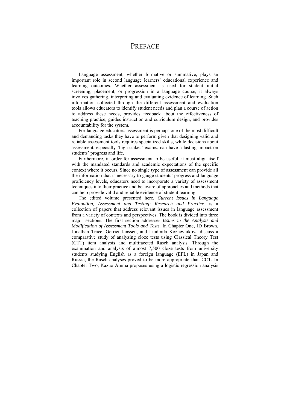### **PREFACE**

Language assessment, whether formative or summative, plays an important role in second language learners' educational experience and learning outcomes. Whether assessment is used for student initial screening, placement, or progression in a language course, it always involves gathering, interpreting and evaluating evidence of learning. Such information collected through the different assessment and evaluation tools allows educators to identify student needs and plan a course of action to address these needs, provides feedback about the effectiveness of teaching practice, guides instruction and curriculum design, and provides accountability for the system.

For language educators, assessment is perhaps one of the most difficult and demanding tasks they have to perform given that designing valid and reliable assessment tools requires specialized skills, while decisions about assessment, especially 'high-stakes' exams, can have a lasting impact on students' progress and life.

Furthermore, in order for assessment to be useful, it must align itself with the mandated standards and academic expectations of the specific context where it occurs. Since no single type of assessment can provide all the information that is necessary to gauge students' progress and language proficiency levels, educators need to incorporate a variety of assessment techniques into their practice and be aware of approaches and methods that can help provide valid and reliable evidence of student learning.

 The edited volume presented here, *Current Issues in Language Evaluation, Assessment and Testing: Research and Practice*, is a collection of papers that address relevant issues in language assessment from a variety of contexts and perspectives. The book is divided into three major sections. The first section addresses *Issues in the Analysis and Modification of Assessment Tools and Tests.* In Chapter One, JD Brown, Jonathan Trace, Gerriet Janssen, and Liudmila Kozhevnikova discuss a comparative study of analyzing cloze tests using Classical Theory Test (CTT) item analysis and multifaceted Rasch analysis. Through the examination and analysis of almost 7,500 cloze tests from university students studying English as a foreign language (EFL) in Japan and Russia, the Rasch analyses proved to be more appropriate than CCT. In Chapter Two, Kazuo Amma proposes using a logistic regression analysis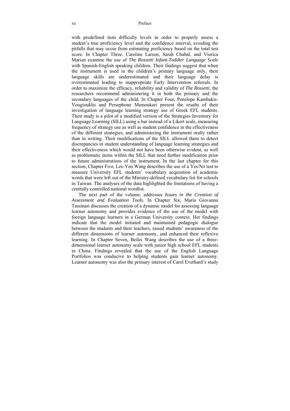with predefined item difficulty levels in order to properly assess a student's true proficiency level and the confidence interval, avoiding the pitfalls that may occur from estimating proficiency based on the total test score. In Chapter Three, Caroline Larson, Sarah Chabal, and Viorica Marian examine the use of *The Rossetti Infant-Toddler Language Scale* with Spanish-English speaking children. Their findings suggest that when the instrument is used in the children's primary language only, their language skills are underestimated and their language delay is overestimated leading to inappropriate Early Intervention referrals. In order to maximize the efficacy, reliability and validity of *The Rossetti*, the researchers recommend administering it in both the primary and the secondary languages of the child. In Chapter Four, Penelope Kambakis-Vougiouklis and Persephone Mamoukari present the results of their investigation of language learning strategy use of Greek EFL students. Their study is a pilot of a modified version of the Strategies Inventory for Language Learning (SILL) using a bar instead of a Likert scale, measuring frequency of strategy use as well as student confidence in the effectiveness of the different strategies, and administering the instrument orally rather than in writing. Their modifications of the SILL allowed them to detect discrepancies in student understanding of language learning strategies and their effectiveness which would not have been otherwise evident, as well as problematic items within the SILL that need further modification prior to future administrations of the instrument. In the last chapter for this section, Chapter Five, Lee-Yen Wang describes the use of a Yes/No test to measure University EFL students' vocabulary acquisition of academic words that were left out of the Ministry-defined vocabulary list for schools in Taiwan. The analyses of the data highlighted the limitations of having a centrally controlled national wordlist.

 The next part of the volume, addresses *Issues in the Creation of Assessment and Evaluation Tools.* In Chapter Six, Maria Giovanna Tassinari discusses the creation of a dynamic model for assessing language learner autonomy and provides evidence of the use of the model with foreign language learners in a German University context. Her findings indicate that the model initiated and maintained pedagogic dialogue between the students and their teachers, raised students' awareness of the different dimensions of learner autonomy, and enhanced their reflexive learning. In Chapter Seven, Beilei Wang describes the use of a threedimensional learner autonomy scale with junior high school EFL students in China. Findings revealed that the use of the English Language Portfolios was conducive to helping students gain learner autonomy. Learner autonomy was also the primary interest of Carol Everhard's study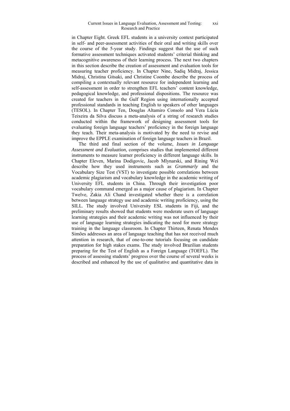#### Current Issues in Language Evaluation, Assessment and Testing: Research and Practice xxi

in Chapter Eight. Greek EFL students in a university context participated in self- and peer-assessment activities of their oral and writing skills over the course of the 5-year study. Findings suggest that the use of such formative assessment techniques activated students' criterial thinking and metacognitive awareness of their learning process. The next two chapters in this section describe the creation of assessment and evaluation tools for measuring teacher proficiency. In Chapter Nine, Sadiq Midraj, Jessica Midraj, Christina Gitsaki, and Christine Coombe describe the process of compiling a contextually relevant resource for independent learning and self-assessment in order to strengthen EFL teachers' content knowledge, pedagogical knowledge, and professional dispositions. The resource was created for teachers in the Gulf Region using internationally accepted professional standards in teaching English to speakers of other languages (TESOL). In Chapter Ten, Douglas Altamiro Consolo and Vera Lúcia Teixeira da Silva discuss a meta-analysis of a string of research studies conducted within the framework of designing assessment tools for evaluating foreign language teachers' proficiency in the foreign language they teach. Their meta-analysis is motivated by the need to revise and improve the EPPLE examination of foreign language teachers in Brazil.

 The third and final section of the volume, *Issues in Language Assessment and Evaluation*, comprises studies that implemented different instruments to measure learner proficiency in different language skills. In Chapter Eleven, Marina Dodigovic, Jacob Mlynarski, and Rining Wei describe how they used instruments such as *Grammarly* and the Vocabulary Size Test (VST) to investigate possible correlations between academic plagiarism and vocabulary knowledge in the academic writing of University EFL students in China. Through their investigation poor vocabulary command emerged as a major cause of plagiarism. In Chapter Twelve, Zakia Ali Chand investigated whether there is a correlation between language strategy use and academic writing proficiency, using the SILL. The study involved University ESL students in Fiji, and the preliminary results showed that students were moderate users of language learning strategies and their academic writing was not influenced by their use of language learning strategies indicating the need for more strategy training in the language classroom. In Chapter Thirteen, Renata Mendes Simões addresses an area of language teaching that has not received much attention in research, that of one-to-one tutorials focusing on candidate preparation for high stakes exams. The study involved Brazilian students preparing for the Test of English as a Foreign Language (TOEFL). The process of assessing students' progress over the course of several weeks is described and enhanced by the use of qualitative and quantitative data in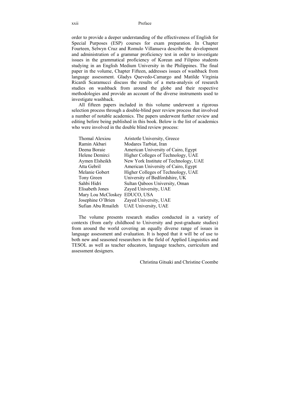order to provide a deeper understanding of the effectiveness of English for Special Purposes (ESP) courses for exam preparation. In Chapter Fourteen, Selwyn Cruz and Romulo Villanueva describe the development and administration of a grammar proficiency test in order to investigate issues in the grammatical proficiency of Korean and Filipino students studying in an English Medium University in the Philippines. The final paper in the volume, Chapter Fifteen, addresses issues of washback from language assessment. Gladys Quevedo-Camargo and Matilde Virginia Ricardi Scaramucci discuss the results of a meta-analysis of research studies on washback from around the globe and their respective methodologies and provide an account of the diverse instruments used to investigate washback.

All fifteen papers included in this volume underwent a rigorous selection process through a double-blind peer review process that involved a number of notable academics. The papers underwent further review and editing before being published in this book. Below is the list of academics who were involved in the double blind review process:

| Thomaï Alexiou     | Aristotle University, Greece          |  |  |  |
|--------------------|---------------------------------------|--|--|--|
| Ramin Akbari       | Modares Tarbiat, Iran                 |  |  |  |
| Deena Boraie       | American University of Cairo, Egypt   |  |  |  |
| Helene Demirci     | Higher Colleges of Technology, UAE    |  |  |  |
| Aymen Elsheikh     | New York Institute of Technology, UAE |  |  |  |
| Atta Gebril        | American University of Cairo, Egypt   |  |  |  |
| Melanie Gobert     | Higher Colleges of Technology, UAE    |  |  |  |
| Tony Green         | University of Bedfordshire, UK        |  |  |  |
| Sahbi Hidri        | Sultan Qaboos University, Oman        |  |  |  |
| Elisabeth Jones    | Zayed University, UAE                 |  |  |  |
| Mary Lou McCloskey | EDUCO, USA                            |  |  |  |
| Josephine O'Brien  | Zayed University, UAE                 |  |  |  |
| Sufian Abu Rmaileh | UAE University, UAE                   |  |  |  |

The volume presents research studies conducted in a variety of contexts (from early childhood to University and post-graduate studies) from around the world covering an equally diverse range of issues in language assessment and evaluation. It is hoped that it will be of use to both new and seasoned researchers in the field of Applied Linguistics and TESOL as well as teacher educators, language teachers, curriculum and assessment designers.

Christina Gitsaki and Christine Coombe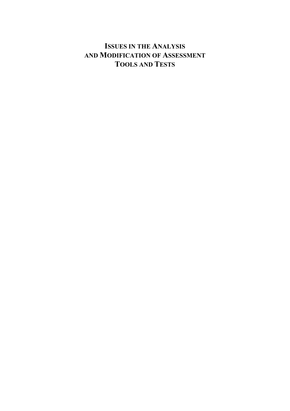## **ISSUES IN THE ANALYSIS AND MODIFICATION OF ASSESSMENT TOOLS AND TESTS**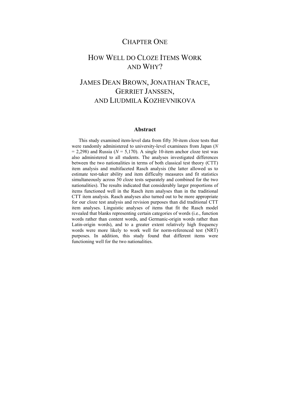### CHAPTER ONE

### HOW WELL DO CLOZE ITEMS WORK AND WHY?

## JAMES DEAN BROWN, JONATHAN TRACE, GERRIET JANSSEN, AND LIUDMILA KOZHEVNIKOVA

#### **Abstract**

This study examined item-level data from fifty 30-item cloze tests that were randomly administered to university-level examinees from Japan (*N*  $= 2,298$ ) and Russia ( $N = 5,170$ ). A single 10-item anchor cloze test was also administered to all students. The analyses investigated differences between the two nationalities in terms of both classical test theory (CTT) item analysis and multifaceted Rasch analysis (the latter allowed us to estimate test-taker ability and item difficulty measures and fit statistics simultaneously across 50 cloze tests separately and combined for the two nationalities). The results indicated that considerably larger proportions of items functioned well in the Rasch item analyses than in the traditional CTT item analysis. Rasch analyses also turned out to be more appropriate for our cloze test analysis and revision purposes than did traditional CTT item analyses. Linguistic analyses of items that fit the Rasch model revealed that blanks representing certain categories of words (i.e., function words rather than content words, and Germanic-origin words rather than Latin-origin words), and to a greater extent relatively high frequency words were more likely to work well for norm-referenced test (NRT) purposes. In addition, this study found that different items were functioning well for the two nationalities.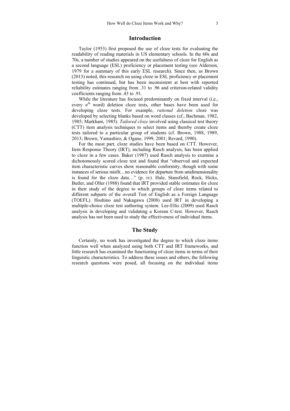#### **Introduction**

Taylor (1953) first proposed the use of cloze tests for evaluating the readability of reading materials in US elementary schools. In the 60s and 70s, a number of studies appeared on the usefulness of cloze for English as a second language (ESL) proficiency or placement testing (see Alderson, 1979 for a summary of this early ESL research). Since then, as Brown (2013) noted, this research on using cloze in ESL proficiency or placement testing has continued, but has been inconsistent at best with reported reliability estimates ranging from .31 to .96 and criterion-related validity coefficients ranging from .43 to .91.

While the literature has focused predominantly on fixed interval (i.e., every *n*<sup>th</sup> word) deletion cloze tests, other bases have been used for developing cloze tests. For example, *rational deletion* cloze was developed by selecting blanks based on word classes (cf., Bachman, 1982, 1985; Markham, 1985). *Tailored cloze* involved using classical test theory (CTT) item analysis techniques to select items and thereby create cloze tests tailored to a particular group of students (cf. Brown, 1988, 1989, 2013; Brown, Yamashiro, & Ogane, 1999, 2001; Revard, 1990).

For the most part, cloze studies have been based on CTT. However, Item Response Theory (IRT), including Rasch analysis, has been applied to cloze in a few cases. Baker (1987) used Rasch analysis to examine a dichotomously scored cloze test and found that "observed and expected item characteristic curves show reasonable conformity, though with some instances of serious misfit…no evidence for departure from unidimensionality is found for the cloze data…" (p. iv). Hale, Stansfield, Rock, Hicks, Butler, and Oller (1988) found that IRT provided stable estimates for cloze in their study of the degree to which groups of cloze items related to different subparts of the overall Test of English as a Foreign Language (TOEFL). Hoshino and Nakagawa (2008) used IRT in developing a multiple-choice cloze test authoring system. Lee-Ellis (2009) used Rasch analysis in developing and validating a Korean C-test. However, Rasch analysis has not been used to study the effectiveness of individual items.

### **The Study**

Certainly, no work has investigated the degree to which cloze items function well when analyzed using both CTT and IRT frameworks, and little research has examined the functioning of cloze items in terms of their linguistic characteristics. To address these issues and others, the following research questions were posed, all focusing on the individual items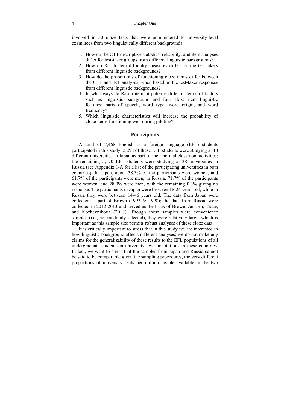involved in 50 cloze tests that were administered to university-level examinees from two linguistically different backgrounds:

- 1. How do the CTT descriptive statistics, reliability, and item analyses differ for test-taker groups from different linguistic backgrounds?
- 2. How do Rasch item difficulty measures differ for the test-takers from different linguistic backgrounds?
- 3. How do the proportions of functioning cloze items differ between the CTT and IRT analyses, when based on the test-taker responses from different linguistic backgrounds?
- 4. In what ways do Rasch item fit patterns differ in terms of factors such as linguistic background and four cloze item linguistic features: parts of speech, word type, word origin, and word frequency?
- 5. Which linguistic characteristics will increase the probability of cloze items functioning well during piloting?

#### **Participants**

A total of 7,468 English as a foreign language (EFL) students participated in this study: 2,298 of these EFL students were studying at 18 different universities in Japan as part of their normal classroom activities; the remaining 5,170 EFL students were studying at 38 universities in Russia (see Appendix 1-A for a list of the participating universities in both countries). In Japan, about 38.3% of the participants were women, and 61.7% of the participants were men; in Russia, 71.7% of the participants were women, and 28.0% were men, with the remaining 0.3% giving no response. The participants in Japan were between 18-24 years old, while in Russia they were between 14-46 years old. The data from Japan were collected as part of Brown (1993 & 1998); the data from Russia were collected in 2012-2013 and served as the basis of Brown, Janssen, Trace, and Kozhevnikova (2013). Though these samples were convenience samples (i.e., not randomly selected), they were relatively large, which is important as this sample size permits robust analyses of these cloze data.

It is critically important to stress that in this study we are interested in how linguistic background affects different analyses; we do not make any claims for the generalizability of these results to the EFL populations of all undergraduate students in university-level institutions in these countries. In fact, we want to stress that the samples from Japan and Russia cannot be said to be comparable given the sampling procedures, the very different proportions of university seats per million people available in the two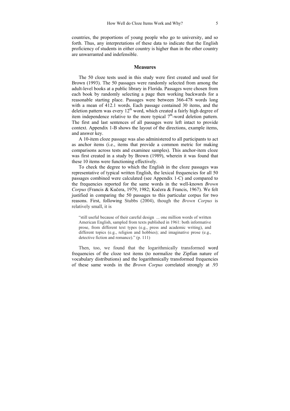countries, the proportions of young people who go to university, and so forth. Thus, any interpretations of these data to indicate that the English proficiency of students in either country is higher than in the other country are unwarranted and indefensible.

#### **Measures**

The 50 cloze tests used in this study were first created and used for Brown (1993). The 50 passages were randomly selected from among the adult-level books at a public library in Florida. Passages were chosen from each book by randomly selecting a page then working backwards for a reasonable starting place. Passages were between 366-478 words long with a mean of 412.1 words. Each passage contained 30 items, and the deletion pattern was every  $12<sup>th</sup>$  word, which created a fairly high degree of item independence relative to the more typical  $7<sup>th</sup>$ -word deletion pattern. The first and last sentences of all passages were left intact to provide context. Appendix 1-B shows the layout of the directions, example items, and answer key.

A 10-item cloze passage was also administered to all participants to act as anchor items (i.e., items that provide a common metric for making comparisons across tests and examinee samples). This anchor-item cloze was first created in a study by Brown (1989), wherein it was found that these 10 items were functioning effectively.

To check the degree to which the English in the cloze passages was representative of typical written English, the lexical frequencies for all 50 passages combined were calculated (see Appendix 1-C) and compared to the frequencies reported for the same words in the well-known *Brown Corpus* (Francis & Kučera, 1979, 1982; Kučera & Francis, 1967). We felt justified in comparing the 50 passages to this particular corpus for two reasons. First, following Stubbs (2004), though the *Brown Corpus* is relatively small, it is

"still useful because of their careful design ... one million words of written American English, sampled from texts published in 1961: both informative prose, from different text types (e.g., press and academic writing), and different topics (e.g., religion and hobbies); and imaginative prose (e.g., detective fiction and romance)." (p. 111)

Then, too, we found that the logarithmically transformed word frequencies of the cloze test items (to normalize the Zipfian nature of vocabulary distributions) and the logarithmically transformed frequencies of these same words in the *Brown Corpus* correlated strongly at .93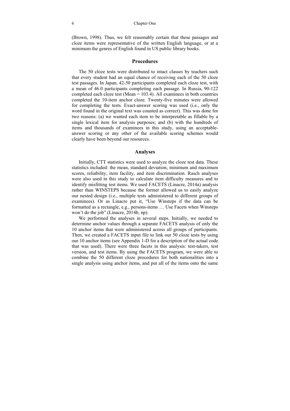#### 6 Chapter One

(Brown, 1998). Thus, we felt reasonably certain that these passages and cloze items were representative of the written English language, or at a minimum the genres of English found in US public library books.

#### **Procedures**

The 50 cloze tests were distributed to intact classes by teachers such that every student had an equal chance of receiving each of the 50 cloze test passages. In Japan, 42-50 participants completed each cloze test, with a mean of 46.0 participants completing each passage. In Russia, 90-122 completed each cloze test (Mean = 103.4). All examinees in both countries completed the 10-item anchor cloze. Twenty-five minutes were allowed for completing the tests. Exact-answer scoring was used (i.e., only the word found in the original text was counted as correct). This was done for two reasons: (a) we wanted each item to be interpretable as fillable by a single lexical item for analysis purposes; and (b) with the hundreds of items and thousands of examinees in this study, using an acceptableanswer scoring or any other of the available scoring schemes would clearly have been beyond our resources.

#### **Analyses**

Initially, CTT statistics were used to analyze the cloze test data. These statistics included: the mean, standard deviation, minimum and maximum scores, reliability, item facility, and item discrimination. Rasch analyses were also used in this study to calculate item difficulty measures and to identify misfitting test items. We used FACETS (Linacre, 2014a) analysis rather than WINSTEPS because the former allowed us to easily analyze our nested design (i.e., multiple tests administered to different groups of examinees). Or as Linacre put it, "Use Winsteps if the data can be formatted as a rectangle, e.g., persons-items … Use Facets when Winsteps won't do the job" (Linacre, 2014b, np).

We performed the analyses in several steps. Initially, we needed to determine anchor values through a separate FACETS analysis of only the 10 anchor items that were administered across all groups of participants. Then, we created a FACETS input file to link our 50 cloze tests by using our 10 anchor items (see Appendix 1-D for a description of the actual code that was used). There were three facets in this analysis: test-takers, test version, and test items. By using the FACETS program, we were able to combine the 50 different cloze procedures for both nationalities into a single analysis using anchor items, and put all of the items onto the same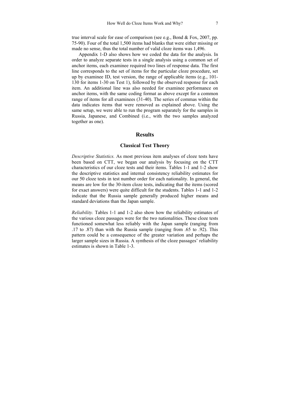true interval scale for ease of comparison (see e.g., Bond & Fox, 2007, pp. 75-90). Four of the total 1,500 items had blanks that were either missing or made no sense, thus the total number of valid cloze items was 1,496.

Appendix 1-D also shows how we coded the data for the analysis. In order to analyze separate tests in a single analysis using a common set of anchor items, each examinee required two lines of response data. The first line corresponds to the set of items for the particular cloze procedure, set up by examinee ID, test version, the range of applicable items (e.g., 101- 130 for items 1-30 on Test 1), followed by the observed response for each item. An additional line was also needed for examinee performance on anchor items, with the same coding format as above except for a common range of items for all examinees (31-40). The series of commas within the data indicates items that were removed as explained above. Using the same setup, we were able to run the program separately for the samples in Russia, Japanese, and Combined (i.e., with the two samples analyzed together as one).

#### **Results**

#### **Classical Test Theory**

*Descriptive Statistics.* As most previous item analyses of cloze tests have been based on CTT, we began our analysis by focusing on the CTT characteristics of our cloze tests and their items. Tables 1-1 and 1-2 show the descriptive statistics and internal consistency reliability estimates for our 50 cloze tests in test number order for each nationality. In general, the means are low for the 30-item cloze tests, indicating that the items (scored for exact answers) were quite difficult for the students. Tables 1-1 and 1-2 indicate that the Russia sample generally produced higher means and standard deviations than the Japan sample.

*Reliability.* Tables 1-1 and 1-2 also show how the reliability estimates of the various cloze passages were for the two nationalities. These cloze tests functioned somewhat less reliably with the Japan sample (ranging from .17 to .87) than with the Russia sample (ranging from .65 to .92). This pattern could be a consequence of the greater variation and perhaps the larger sample sizes in Russia. A synthesis of the cloze passages' reliability estimates is shown in Table 1-3.